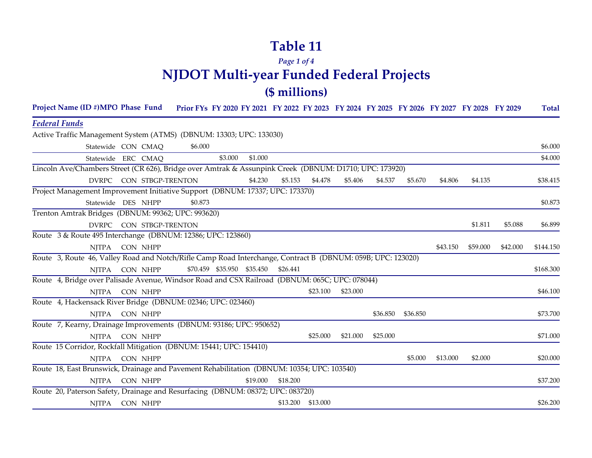### *Page 1 of 4* **NJDOT Multi-year Funded Federal Projects (\$ millions)**

| Project Name (ID #)MPO Phase Fund                                                                           |                         | Prior FYs FY 2020 FY 2021 FY 2022 FY 2023 FY 2024 FY 2025 FY 2026 FY 2027 FY 2028 FY 2029 |         |                            |          |                   |          |          |          |          |          |          | <b>Total</b> |
|-------------------------------------------------------------------------------------------------------------|-------------------------|-------------------------------------------------------------------------------------------|---------|----------------------------|----------|-------------------|----------|----------|----------|----------|----------|----------|--------------|
| <b>Federal Funds</b>                                                                                        |                         |                                                                                           |         |                            |          |                   |          |          |          |          |          |          |              |
| Active Traffic Management System (ATMS) (DBNUM: 13303; UPC: 133030)                                         |                         |                                                                                           |         |                            |          |                   |          |          |          |          |          |          |              |
|                                                                                                             | Statewide CON CMAQ      | \$6.000                                                                                   |         |                            |          |                   |          |          |          |          |          |          | \$6.000      |
|                                                                                                             | Statewide ERC CMAQ      |                                                                                           | \$3.000 | \$1.000                    |          |                   |          |          |          |          |          |          | \$4.000      |
| Lincoln Ave/Chambers Street (CR 626), Bridge over Amtrak & Assunpink Creek (DBNUM: D1710; UPC: 173920)      |                         |                                                                                           |         |                            |          |                   |          |          |          |          |          |          |              |
|                                                                                                             | DVRPC CON STBGP-TRENTON |                                                                                           |         | \$4.230                    | \$5.153  | \$4.478           | \$5.406  | \$4.537  | \$5.670  | \$4.806  | \$4.135  |          | \$38.415     |
| Project Management Improvement Initiative Support (DBNUM: 17337; UPC: 173370)                               |                         |                                                                                           |         |                            |          |                   |          |          |          |          |          |          |              |
|                                                                                                             | Statewide DES NHPP      | \$0.873                                                                                   |         |                            |          |                   |          |          |          |          |          |          | \$0.873      |
| Trenton Amtrak Bridges (DBNUM: 99362; UPC: 993620)                                                          |                         |                                                                                           |         |                            |          |                   |          |          |          |          |          |          |              |
|                                                                                                             | DVRPC CON STBGP-TRENTON |                                                                                           |         |                            |          |                   |          |          |          |          | \$1.811  | \$5.088  | \$6.899      |
| Route 3 & Route 495 Interchange (DBNUM: 12386; UPC: 123860)                                                 |                         |                                                                                           |         |                            |          |                   |          |          |          |          |          |          |              |
| NJTPA                                                                                                       | CON NHPP                |                                                                                           |         |                            |          |                   |          |          |          | \$43.150 | \$59.000 | \$42.000 | \$144.150    |
| Route 3, Route 46, Valley Road and Notch/Rifle Camp Road Interchange, Contract B (DBNUM: 059B; UPC: 123020) |                         |                                                                                           |         |                            |          |                   |          |          |          |          |          |          |              |
|                                                                                                             | NJTPA CON NHPP          |                                                                                           |         | \$70.459 \$35.950 \$35.450 | \$26.441 |                   |          |          |          |          |          |          | \$168.300    |
| Route 4, Bridge over Palisade Avenue, Windsor Road and CSX Railroad (DBNUM: 065C; UPC: 078044)              |                         |                                                                                           |         |                            |          |                   |          |          |          |          |          |          |              |
| <b>NJTPA</b>                                                                                                | CON NHPP                |                                                                                           |         |                            |          | \$23.100          | \$23.000 |          |          |          |          |          | \$46.100     |
| Route 4, Hackensack River Bridge (DBNUM: 02346; UPC: 023460)                                                |                         |                                                                                           |         |                            |          |                   |          |          |          |          |          |          |              |
| NJTPA                                                                                                       | CON NHPP                |                                                                                           |         |                            |          |                   |          | \$36.850 | \$36.850 |          |          |          | \$73.700     |
| Route 7, Kearny, Drainage Improvements (DBNUM: 93186; UPC: 950652)                                          |                         |                                                                                           |         |                            |          |                   |          |          |          |          |          |          |              |
| NJTPA                                                                                                       | CON NHPP                |                                                                                           |         |                            |          | \$25.000          | \$21.000 | \$25.000 |          |          |          |          | \$71.000     |
| Route 15 Corridor, Rockfall Mitigation (DBNUM: 15441; UPC: 154410)                                          |                         |                                                                                           |         |                            |          |                   |          |          |          |          |          |          |              |
| <b>NJTPA</b>                                                                                                | CON NHPP                |                                                                                           |         |                            |          |                   |          |          | \$5.000  | \$13.000 | \$2.000  |          | \$20.000     |
| Route 18, East Brunswick, Drainage and Pavement Rehabilitation (DBNUM: 10354; UPC: 103540)                  |                         |                                                                                           |         |                            |          |                   |          |          |          |          |          |          |              |
| <b>NJTPA</b>                                                                                                | CON NHPP                |                                                                                           |         | \$19.000                   | \$18.200 |                   |          |          |          |          |          |          | \$37.200     |
| Route 20, Paterson Safety, Drainage and Resurfacing (DBNUM: 08372; UPC: 083720)                             |                         |                                                                                           |         |                            |          |                   |          |          |          |          |          |          |              |
|                                                                                                             | NJTPA CON NHPP          |                                                                                           |         |                            |          | \$13.200 \$13.000 |          |          |          |          |          |          | \$26.200     |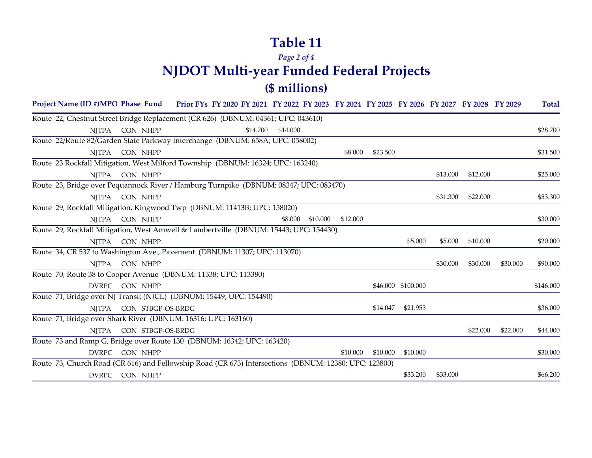#### *Page 2 of 4* **NJDOT Multi-year Funded Federal Projects (\$ millions)**

| Project Name (ID #)MPO Phase Fund                                                                     |              |                   | Prior FYs FY 2020 FY 2021 FY 2022 FY 2023 FY 2024 FY 2025 FY 2026 FY 2027 FY 2028 FY 2029 |          |          |          |          |          |                    |          |          |          | <b>Total</b> |
|-------------------------------------------------------------------------------------------------------|--------------|-------------------|-------------------------------------------------------------------------------------------|----------|----------|----------|----------|----------|--------------------|----------|----------|----------|--------------|
| Route 22, Chestnut Street Bridge Replacement (CR 626) (DBNUM: 04361; UPC: 043610)                     |              |                   |                                                                                           |          |          |          |          |          |                    |          |          |          |              |
|                                                                                                       | NJTPA        | CON NHPP          |                                                                                           | \$14.700 | \$14.000 |          |          |          |                    |          |          |          | \$28.700     |
| Route 22/Route 82/Garden State Parkway Interchange (DBNUM: 658A; UPC: 058002)                         |              |                   |                                                                                           |          |          |          |          |          |                    |          |          |          |              |
|                                                                                                       | NJTPA        | CON NHPP          |                                                                                           |          |          |          | \$8.000  | \$23.500 |                    |          |          |          | \$31.500     |
| Route 23 Rockfall Mitigation, West Milford Township (DBNUM: 16324; UPC: 163240)                       |              |                   |                                                                                           |          |          |          |          |          |                    |          |          |          |              |
|                                                                                                       | NJTPA        | CON NHPP          |                                                                                           |          |          |          |          |          |                    | \$13.000 | \$12,000 |          | \$25.000     |
| Route 23, Bridge over Pequannock River / Hamburg Turnpike (DBNUM: 08347; UPC: 083470)                 |              |                   |                                                                                           |          |          |          |          |          |                    |          |          |          |              |
|                                                                                                       | NITPA        | CON NHPP          |                                                                                           |          |          |          |          |          |                    | \$31.300 | \$22.000 |          | \$53.300     |
| Route 29, Rockfall Mitigation, Kingwood Twp (DBNUM: 11413B; UPC: 158020)                              |              |                   |                                                                                           |          |          |          |          |          |                    |          |          |          |              |
|                                                                                                       | NITPA        | CON NHPP          |                                                                                           |          | \$8.000  | \$10.000 | \$12,000 |          |                    |          |          |          | \$30.000     |
| Route 29, Rockfall Mitigation, West Amwell & Lambertville (DBNUM: 15443; UPC: 154430)                 |              |                   |                                                                                           |          |          |          |          |          |                    |          |          |          |              |
|                                                                                                       | <b>NJTPA</b> | CON NHPP          |                                                                                           |          |          |          |          |          | \$5.000            | \$5.000  | \$10.000 |          | \$20.000     |
| Route 34, CR 537 to Washington Ave., Pavement (DBNUM: 11307; UPC: 113070)                             |              |                   |                                                                                           |          |          |          |          |          |                    |          |          |          |              |
|                                                                                                       | <b>NJTPA</b> | CON NHPP          |                                                                                           |          |          |          |          |          |                    | \$30.000 | \$30.000 | \$30.000 | \$90.000     |
| Route 70, Route 38 to Cooper Avenue (DBNUM: 11338; UPC: 113380)                                       |              |                   |                                                                                           |          |          |          |          |          |                    |          |          |          |              |
|                                                                                                       |              | DVRPC CON NHPP    |                                                                                           |          |          |          |          |          | \$46.000 \$100.000 |          |          |          | \$146.000    |
| Route 71, Bridge over NJ Transit (NJCL) (DBNUM: 15449; UPC: 154490)                                   |              |                   |                                                                                           |          |          |          |          |          |                    |          |          |          |              |
|                                                                                                       | NITPA        | CON STBGP-OS-BRDG |                                                                                           |          |          |          |          | \$14.047 | \$21.953           |          |          |          | \$36.000     |
| Route 71, Bridge over Shark River (DBNUM: 16316; UPC: 163160)                                         |              |                   |                                                                                           |          |          |          |          |          |                    |          |          |          |              |
|                                                                                                       | NITPA        | CON STBGP-OS-BRDG |                                                                                           |          |          |          |          |          |                    |          | \$22.000 | \$22,000 | \$44.000     |
| Route 73 and Ramp G, Bridge over Route 130 (DBNUM: 16342; UPC: 163420)                                |              |                   |                                                                                           |          |          |          |          |          |                    |          |          |          |              |
|                                                                                                       |              | DVRPC CON NHPP    |                                                                                           |          |          |          | \$10.000 | \$10,000 | \$10.000           |          |          |          | \$30.000     |
| Route 73, Church Road (CR 616) and Fellowship Road (CR 673) Intersections (DBNUM: 12380; UPC: 123800) |              |                   |                                                                                           |          |          |          |          |          |                    |          |          |          |              |
|                                                                                                       |              | DVRPC CON NHPP    |                                                                                           |          |          |          |          |          | \$33,200           | \$33,000 |          |          | \$66.200     |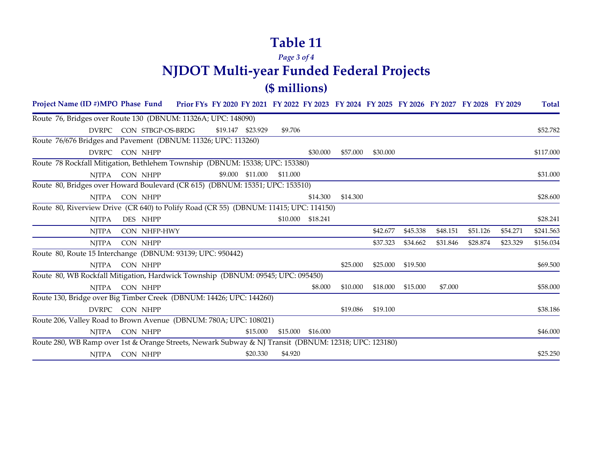#### *Page 3 of 4* **NJDOT Multi-year Funded Federal Projects (\$ millions)**

| Project Name (ID #)MPO Phase Fund Prior FYs FY 2020 FY 2021 FY 2022 FY 2023 FY 2024 FY 2025 FY 2026 FY 2027 FY 2028 FY 2029 |                         |  |                   |          |          |          |          |          |          |          |          | <b>Total</b> |
|-----------------------------------------------------------------------------------------------------------------------------|-------------------------|--|-------------------|----------|----------|----------|----------|----------|----------|----------|----------|--------------|
| Route 76, Bridges over Route 130 (DBNUM: 11326A; UPC: 148090)                                                               |                         |  |                   |          |          |          |          |          |          |          |          |              |
|                                                                                                                             | DVRPC CON STBGP-OS-BRDG |  | \$19.147 \$23.929 | \$9.706  |          |          |          |          |          |          |          | \$52,782     |
| Route 76/676 Bridges and Pavement (DBNUM: 11326; UPC: 113260)                                                               |                         |  |                   |          |          |          |          |          |          |          |          |              |
|                                                                                                                             | DVRPC CON NHPP          |  |                   |          | \$30.000 | \$57,000 | \$30,000 |          |          |          |          | \$117.000    |
| Route 78 Rockfall Mitigation, Bethlehem Township (DBNUM: 15338; UPC: 153380)                                                |                         |  |                   |          |          |          |          |          |          |          |          |              |
| NITPA                                                                                                                       | CON NHPP                |  | \$9.000 \$11.000  | \$11.000 |          |          |          |          |          |          |          | \$31.000     |
| Route 80, Bridges over Howard Boulevard (CR 615) (DBNUM: 15351; UPC: 153510)                                                |                         |  |                   |          |          |          |          |          |          |          |          |              |
| NJTPA                                                                                                                       | CON NHPP                |  |                   |          | \$14.300 | \$14.300 |          |          |          |          |          | \$28.600     |
| Route 80, Riverview Drive (CR 640) to Polify Road (CR 55) (DBNUM: 11415; UPC: 114150)                                       |                         |  |                   |          |          |          |          |          |          |          |          |              |
| <b>NJTPA</b>                                                                                                                | DES NHPP                |  |                   | \$10.000 | \$18.241 |          |          |          |          |          |          | \$28.241     |
| <b>NJTPA</b>                                                                                                                | CON NHFP-HWY            |  |                   |          |          |          | \$42.677 | \$45.338 | \$48.151 | \$51.126 | \$54.271 | \$241.563    |
| <b>NJTPA</b>                                                                                                                | CON NHPP                |  |                   |          |          |          | \$37.323 | \$34.662 | \$31.846 | \$28.874 | \$23.329 | \$156.034    |
| Route 80, Route 15 Interchange (DBNUM: 93139; UPC: 950442)                                                                  |                         |  |                   |          |          |          |          |          |          |          |          |              |
| NITPA                                                                                                                       | CON NHPP                |  |                   |          |          | \$25,000 | \$25.000 | \$19.500 |          |          |          | \$69.500     |
| Route 80, WB Rockfall Mitigation, Hardwick Township (DBNUM: 09545; UPC: 095450)                                             |                         |  |                   |          |          |          |          |          |          |          |          |              |
| NJTPA                                                                                                                       | CON NHPP                |  |                   |          | \$8.000  | \$10.000 | \$18.000 | \$15.000 | \$7.000  |          |          | \$58.000     |
| Route 130, Bridge over Big Timber Creek (DBNUM: 14426; UPC: 144260)                                                         |                         |  |                   |          |          |          |          |          |          |          |          |              |
|                                                                                                                             | DVRPC CON NHPP          |  |                   |          |          | \$19.086 | \$19.100 |          |          |          |          | \$38.186     |
| Route 206, Valley Road to Brown Avenue (DBNUM: 780A; UPC: 108021)                                                           |                         |  |                   |          |          |          |          |          |          |          |          |              |
| NITPA                                                                                                                       | CON NHPP                |  | \$15.000          | \$15.000 | \$16.000 |          |          |          |          |          |          | \$46.000     |
| Route 280, WB Ramp over 1st & Orange Streets, Newark Subway & NJ Transit (DBNUM: 12318; UPC: 123180)                        |                         |  |                   |          |          |          |          |          |          |          |          |              |
| NITPA                                                                                                                       | CON NHPP                |  | \$20.330          | \$4.920  |          |          |          |          |          |          |          | \$25.250     |